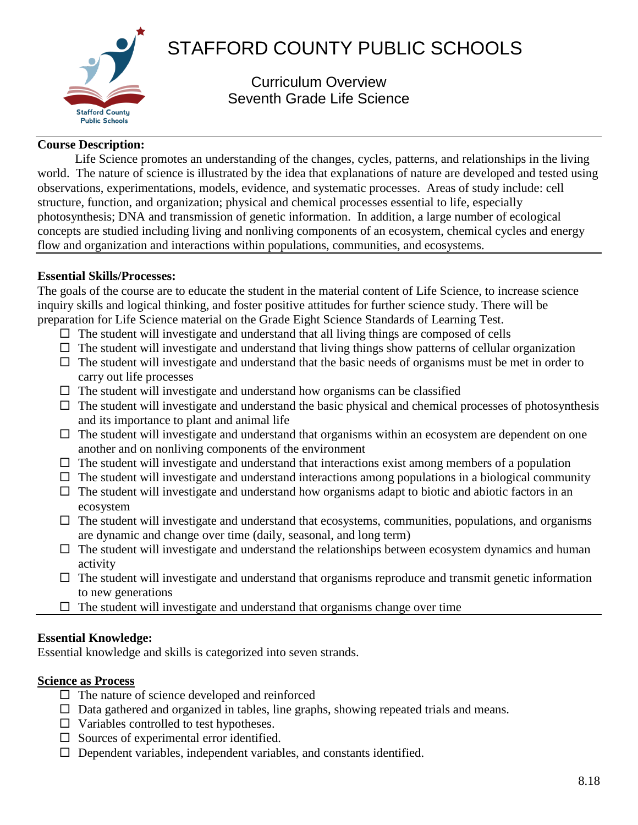

# STAFFORD COUNTY PUBLIC SCHOOLS

Curriculum Overview Seventh Grade Life Science

#### **Course Description:**

Life Science promotes an understanding of the changes, cycles, patterns, and relationships in the living world. The nature of science is illustrated by the idea that explanations of nature are developed and tested using observations, experimentations, models, evidence, and systematic processes. Areas of study include: cell structure, function, and organization; physical and chemical processes essential to life, especially photosynthesis; DNA and transmission of genetic information. In addition, a large number of ecological concepts are studied including living and nonliving components of an ecosystem, chemical cycles and energy flow and organization and interactions within populations, communities, and ecosystems.

#### **Essential Skills/Processes:**

The goals of the course are to educate the student in the material content of Life Science, to increase science inquiry skills and logical thinking, and foster positive attitudes for further science study. There will be preparation for Life Science material on the Grade Eight Science Standards of Learning Test.

- $\Box$  The student will investigate and understand that all living things are composed of cells
- $\Box$  The student will investigate and understand that living things show patterns of cellular organization
- $\Box$  The student will investigate and understand that the basic needs of organisms must be met in order to carry out life processes
- $\Box$  The student will investigate and understand how organisms can be classified
- $\Box$  The student will investigate and understand the basic physical and chemical processes of photosynthesis and its importance to plant and animal life
- $\Box$  The student will investigate and understand that organisms within an ecosystem are dependent on one another and on nonliving components of the environment
- $\Box$  The student will investigate and understand that interactions exist among members of a population
- $\Box$  The student will investigate and understand interactions among populations in a biological community
- $\Box$  The student will investigate and understand how organisms adapt to biotic and abiotic factors in an ecosystem
- $\Box$  The student will investigate and understand that ecosystems, communities, populations, and organisms are dynamic and change over time (daily, seasonal, and long term)
- $\Box$  The student will investigate and understand the relationships between ecosystem dynamics and human activity
- $\Box$  The student will investigate and understand that organisms reproduce and transmit genetic information to new generations
- $\Box$  The student will investigate and understand that organisms change over time

#### **Essential Knowledge:**

Essential knowledge and skills is categorized into seven strands.

#### **Science as Process**

- $\Box$  The nature of science developed and reinforced
- $\Box$  Data gathered and organized in tables, line graphs, showing repeated trials and means.
- $\Box$  Variables controlled to test hypotheses.
- $\square$  Sources of experimental error identified.
- $\Box$  Dependent variables, independent variables, and constants identified.